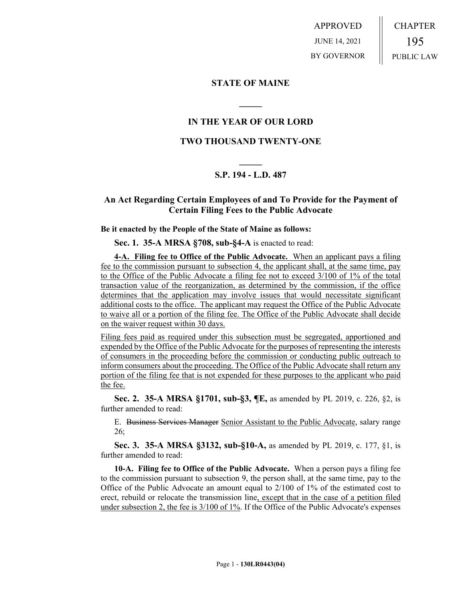APPROVED JUNE 14, 2021 BY GOVERNOR CHAPTER 195 PUBLIC LAW

**STATE OF MAINE**

## **IN THE YEAR OF OUR LORD**

**\_\_\_\_\_**

### **TWO THOUSAND TWENTY-ONE**

# **\_\_\_\_\_ S.P. 194 - L.D. 487**

### **An Act Regarding Certain Employees of and To Provide for the Payment of Certain Filing Fees to the Public Advocate**

#### **Be it enacted by the People of the State of Maine as follows:**

**Sec. 1. 35-A MRSA §708, sub-§4-A** is enacted to read:

**4-A. Filing fee to Office of the Public Advocate.** When an applicant pays a filing fee to the commission pursuant to subsection 4, the applicant shall, at the same time, pay to the Office of the Public Advocate a filing fee not to exceed 3/100 of 1% of the total transaction value of the reorganization, as determined by the commission, if the office determines that the application may involve issues that would necessitate significant additional costs to the office. The applicant may request the Office of the Public Advocate to waive all or a portion of the filing fee. The Office of the Public Advocate shall decide on the waiver request within 30 days.

Filing fees paid as required under this subsection must be segregated, apportioned and expended by the Office of the Public Advocate for the purposes of representing the interests of consumers in the proceeding before the commission or conducting public outreach to inform consumers about the proceeding. The Office of the Public Advocate shall return any portion of the filing fee that is not expended for these purposes to the applicant who paid the fee.

**Sec. 2. 35-A MRSA §1701, sub-§3, ¶E,** as amended by PL 2019, c. 226, §2, is further amended to read:

E. Business Services Manager Senior Assistant to the Public Advocate, salary range 26;

**Sec. 3. 35-A MRSA §3132, sub-§10-A,** as amended by PL 2019, c. 177, §1, is further amended to read:

**10-A. Filing fee to Office of the Public Advocate.** When a person pays a filing fee to the commission pursuant to subsection 9, the person shall, at the same time, pay to the Office of the Public Advocate an amount equal to 2/100 of 1% of the estimated cost to erect, rebuild or relocate the transmission line, except that in the case of a petition filed under subsection 2, the fee is 3/100 of 1%. If the Office of the Public Advocate's expenses